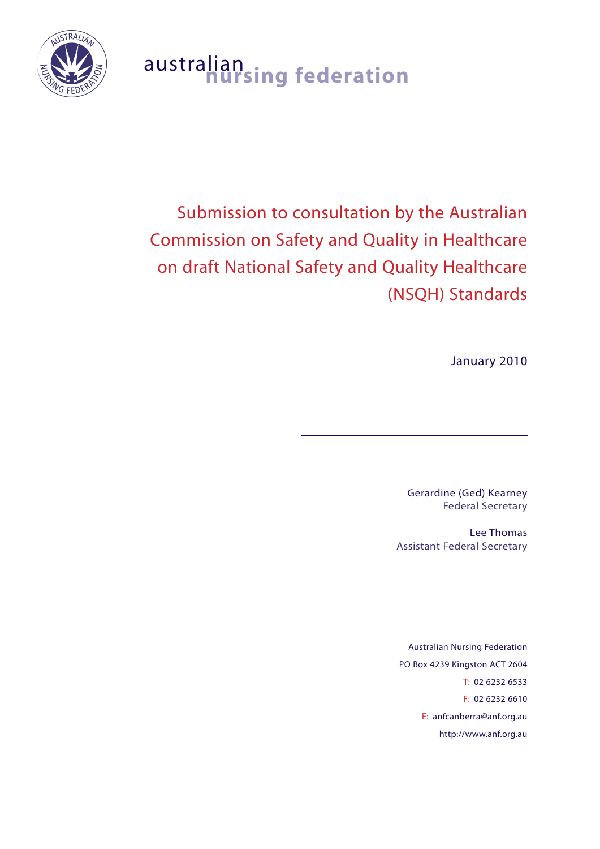

# australian **nursing federation**

Submission to consultation by the Australian Commission on Safety and Quality in Healthcare on draft National Safety and Quality Healthcare (NSQH) Standards

January 2010

Gerardine (Ged) Kearney Federal Secretary

Lee Thomas Assistant Federal Secretary

Australian Nursing Federation PO Box 4239 Kingston ACT 2604 T: 02 6232 6533 F: 02 6232 6610 E: anfcanberra@anf.org.au http://www.anf.org.au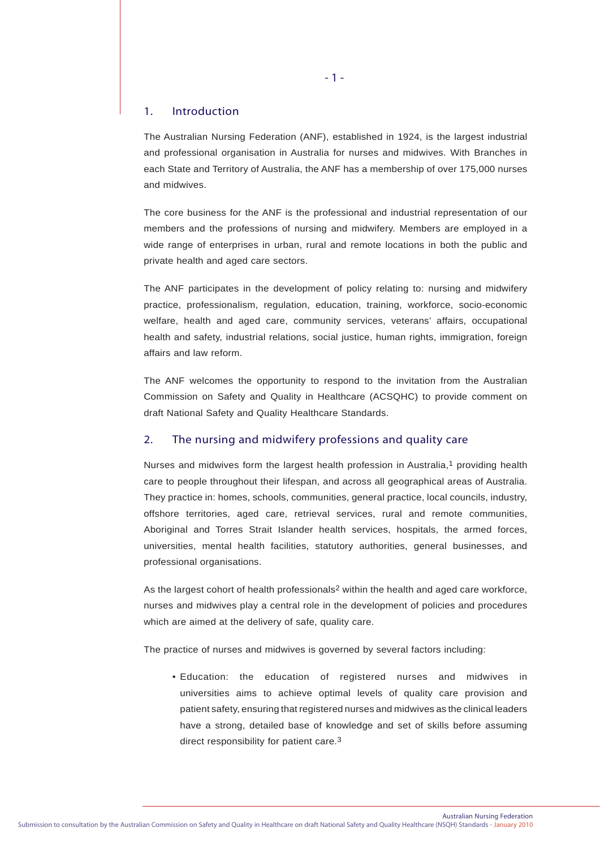#### 1. Introduction

The Australian Nursing Federation (ANF), established in 1924, is the largest industrial and professional organisation in Australia for nurses and midwives. With Branches in each State and Territory of Australia, the ANF has a membership of over 175,000 nurses and midwives.

The core business for the ANF is the professional and industrial representation of our members and the professions of nursing and midwifery. Members are employed in a wide range of enterprises in urban, rural and remote locations in both the public and private health and aged care sectors.

The ANF participates in the development of policy relating to: nursing and midwifery practice, professionalism, regulation, education, training, workforce, socio-economic welfare, health and aged care, community services, veterans' affairs, occupational health and safety, industrial relations, social justice, human rights, immigration, foreign affairs and law reform.

The ANF welcomes the opportunity to respond to the invitation from the Australian Commission on Safety and Quality in Healthcare (ACSQHC) to provide comment on draft National Safety and Quality Healthcare Standards.

# 2. The nursing and midwifery professions and quality care

Nurses and midwives form the largest health profession in Australia, $1$  providing health care to people throughout their lifespan, and across all geographical areas of Australia. They practice in: homes, schools, communities, general practice, local councils, industry, offshore territories, aged care, retrieval services, rural and remote communities, Aboriginal and Torres Strait Islander health services, hospitals, the armed forces, universities, mental health facilities, statutory authorities, general businesses, and professional organisations.

As the largest cohort of health professionals<sup>2</sup> within the health and aged care workforce, nurses and midwives play a central role in the development of policies and procedures which are aimed at the delivery of safe, quality care.

The practice of nurses and midwives is governed by several factors including:

 • Education: the education of registered nurses and midwives in universities aims to achieve optimal levels of quality care provision and patient safety, ensuring that registered nurses and midwives as the clinical leaders have a strong, detailed base of knowledge and set of skills before assuming direct responsibility for patient care.3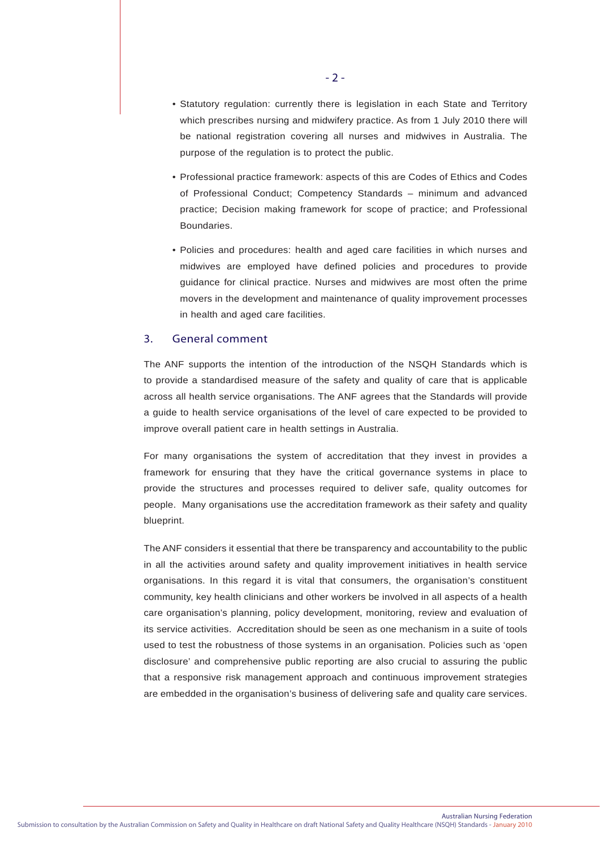- Statutory regulation: currently there is legislation in each State and Territory which prescribes nursing and midwifery practice. As from 1 July 2010 there will be national registration covering all nurses and midwives in Australia. The purpose of the regulation is to protect the public.
- Professional practice framework: aspects of this are Codes of Ethics and Codes of Professional Conduct; Competency Standards – minimum and advanced practice; Decision making framework for scope of practice; and Professional Boundaries.
- Policies and procedures: health and aged care facilities in which nurses and midwives are employed have defined policies and procedures to provide guidance for clinical practice. Nurses and midwives are most often the prime movers in the development and maintenance of quality improvement processes in health and aged care facilities.

# 3. General comment

The ANF supports the intention of the introduction of the NSQH Standards which is to provide a standardised measure of the safety and quality of care that is applicable across all health service organisations. The ANF agrees that the Standards will provide a guide to health service organisations of the level of care expected to be provided to improve overall patient care in health settings in Australia.

For many organisations the system of accreditation that they invest in provides a framework for ensuring that they have the critical governance systems in place to provide the structures and processes required to deliver safe, quality outcomes for people. Many organisations use the accreditation framework as their safety and quality blueprint.

The ANF considers it essential that there be transparency and accountability to the public in all the activities around safety and quality improvement initiatives in health service organisations. In this regard it is vital that consumers, the organisation's constituent community, key health clinicians and other workers be involved in all aspects of a health care organisation's planning, policy development, monitoring, review and evaluation of its service activities. Accreditation should be seen as one mechanism in a suite of tools used to test the robustness of those systems in an organisation. Policies such as 'open disclosure' and comprehensive public reporting are also crucial to assuring the public that a responsive risk management approach and continuous improvement strategies are embedded in the organisation's business of delivering safe and quality care services.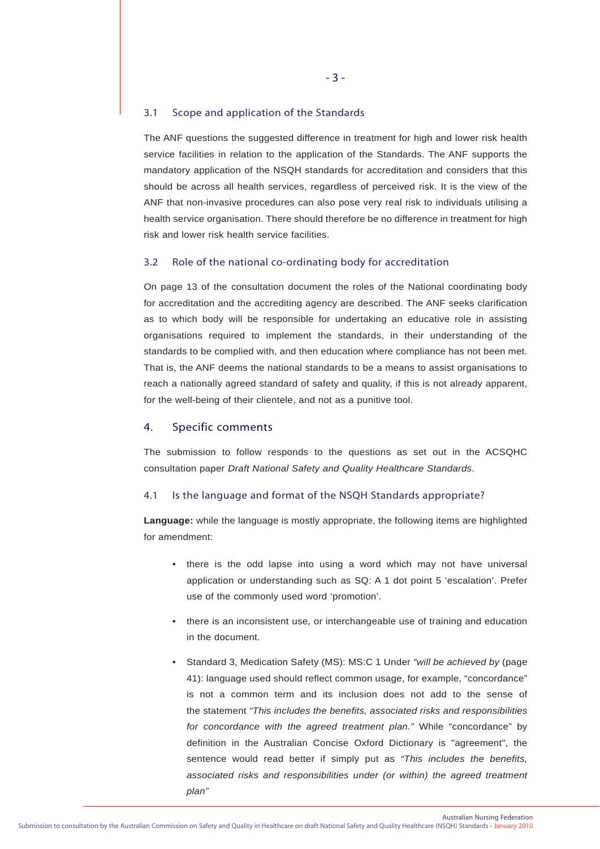#### 3.1 Scope and application of the Standards

The ANF questions the suggested difference in treatment for high and lower risk health service facilities in relation to the application of the Standards. The ANF supports the mandatory application of the NSQH standards for accreditation and considers that this should be across all health services, regardless of perceived risk. It is the view of the ANF that non-invasive procedures can also pose very real risk to individuals utilising a health service organisation. There should therefore be no difference in treatment for high risk and lower risk health service facilities.

#### 3.2 Role of the national co-ordinating body for accreditation

On page 13 of the consultation document the roles of the National coordinating body for accreditation and the accrediting agency are described. The ANF seeks clarification as to which body will be responsible for undertaking an educative role in assisting organisations required to implement the standards, in their understanding of the standards to be complied with, and then education where compliance has not been met. That is, the ANF deems the national standards to be a means to assist organisations to reach a nationally agreed standard of safety and quality, if this is not already apparent, for the well-being of their clientele, and not as a punitive tool.

#### 4. Specific comments

The submission to follow responds to the questions as set out in the ACSQHC consultation paper *Draft National Safety and Quality Healthcare Standards*.

#### 4.1 Is the language and format of the NSQH Standards appropriate?

**Language:** while the language is mostly appropriate, the following items are highlighted for amendment:

- there is the odd lapse into using a word which may not have universal application or understanding such as SQ: A 1 dot point 5 'escalation'. Prefer use of the commonly used word 'promotion'.
- there is an inconsistent use, or interchangeable use of training and education in the document.
- Standard 3, Medication Safety (MS): MS:C 1 Under *"will be achieved by* (page 41): language used should reflect common usage, for example, "concordance" is not a common term and its inclusion does not add to the sense of the statement *"This includes the benefits, associated risks and responsibilities for concordance with the agreed treatment plan."* While "concordance" by definition in the Australian Concise Oxford Dictionary is "agreement", the sentence would read better if simply put as *"This includes the benefits, associated risks and responsibilities under (or within) the agreed treatment plan"*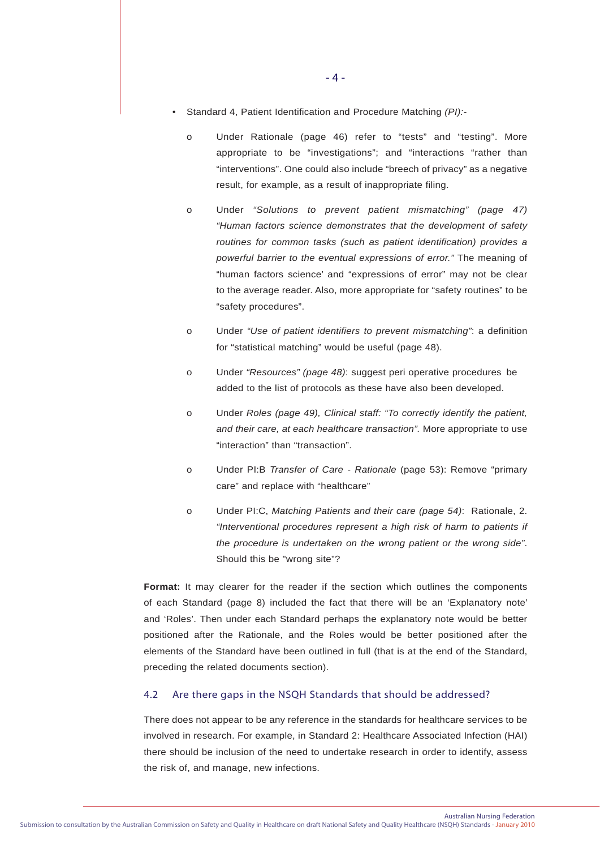- Standard 4, Patient Identification and Procedure Matching *(PI):*
	- o Under Rationale (page 46) refer to "tests" and "testing". More appropriate to be "investigations"; and "interactions "rather than "interventions". One could also include "breech of privacy" as a negative result, for example, as a result of inappropriate filing.
	- o Under *"Solutions to prevent patient mismatching" (page 47) "Human factors science demonstrates that the development of safety routines for common tasks (such as patient identification) provides a powerful barrier to the eventual expressions of error."* The meaning of "human factors science' and "expressions of error" may not be clear to the average reader. Also, more appropriate for "safety routines" to be "safety procedures".
	- o Under *"Use of patient identifiers to prevent mismatching"*: a definition for "statistical matching" would be useful (page 48).
	- o Under *"Resources" (page 48)*: suggest peri operative procedures be added to the list of protocols as these have also been developed.
	- o Under *Roles (page 49), Clinical staff: "To correctly identify the patient, and their care, at each healthcare transaction".* More appropriate to use "interaction" than "transaction".
	- o Under PI:B *Transfer of Care Rationale* (page 53): Remove "primary care" and replace with "healthcare"
	- o Under PI:C, *Matching Patients and their care (page 54)*: Rationale, 2. *"Interventional procedures represent a high risk of harm to patients if the procedure is undertaken on the wrong patient or the wrong side"*. Should this be "wrong site"?

**Format:** It may clearer for the reader if the section which outlines the components of each Standard (page 8) included the fact that there will be an 'Explanatory note' and 'Roles'. Then under each Standard perhaps the explanatory note would be better positioned after the Rationale, and the Roles would be better positioned after the elements of the Standard have been outlined in full (that is at the end of the Standard, preceding the related documents section).

#### 4.2 Are there gaps in the NSQH Standards that should be addressed?

There does not appear to be any reference in the standards for healthcare services to be involved in research. For example, in Standard 2: Healthcare Associated Infection (HAI) there should be inclusion of the need to undertake research in order to identify, assess the risk of, and manage, new infections.

Australian Nursing Federation Submission to consultation by the Australian Commission on Safety and Quality in Healthcare on draft National Safety and Quality Healthcare (NSQH) Standards - January 2010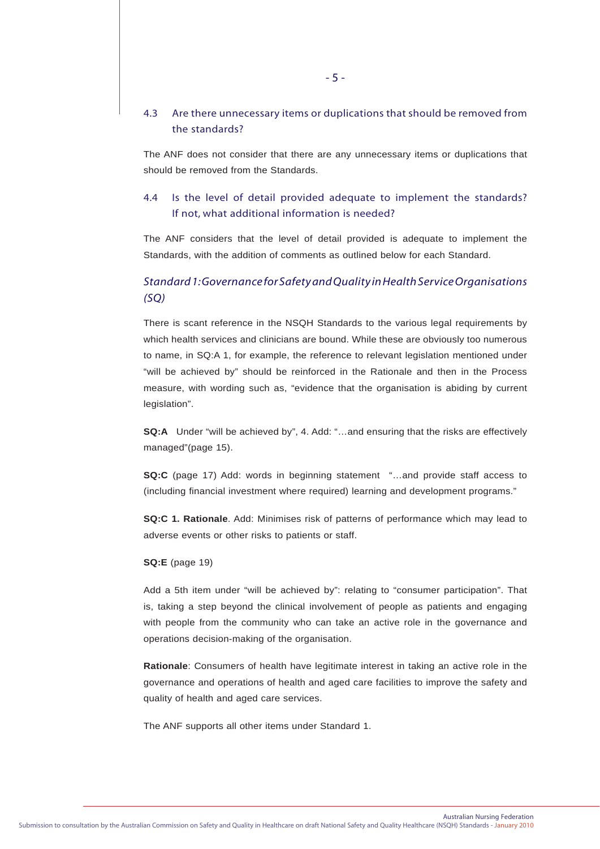# 4.3 Are there unnecessary items or duplications that should be removed from the standards?

The ANF does not consider that there are any unnecessary items or duplications that should be removed from the Standards.

# 4.4 Is the level of detail provided adequate to implement the standards? If not, what additional information is needed?

The ANF considers that the level of detail provided is adequate to implement the Standards, with the addition of comments as outlined below for each Standard.

# *Standard 1: Governance for Safety and Quality in Health Service Organisations (SQ)*

There is scant reference in the NSQH Standards to the various legal requirements by which health services and clinicians are bound. While these are obviously too numerous to name, in SQ:A 1, for example, the reference to relevant legislation mentioned under "will be achieved by" should be reinforced in the Rationale and then in the Process measure, with wording such as, "evidence that the organisation is abiding by current legislation".

**SQ:A** Under "will be achieved by", 4. Add: "…and ensuring that the risks are effectively managed"(page 15).

**SQ:C** (page 17) Add: words in beginning statement "…and provide staff access to (including financial investment where required) learning and development programs."

**SQ:C 1. Rationale**. Add: Minimises risk of patterns of performance which may lead to adverse events or other risks to patients or staff.

#### **SQ:E** (page 19)

Add a 5th item under "will be achieved by": relating to "consumer participation". That is, taking a step beyond the clinical involvement of people as patients and engaging with people from the community who can take an active role in the governance and operations decision-making of the organisation.

**Rationale**: Consumers of health have legitimate interest in taking an active role in the governance and operations of health and aged care facilities to improve the safety and quality of health and aged care services.

The ANF supports all other items under Standard 1.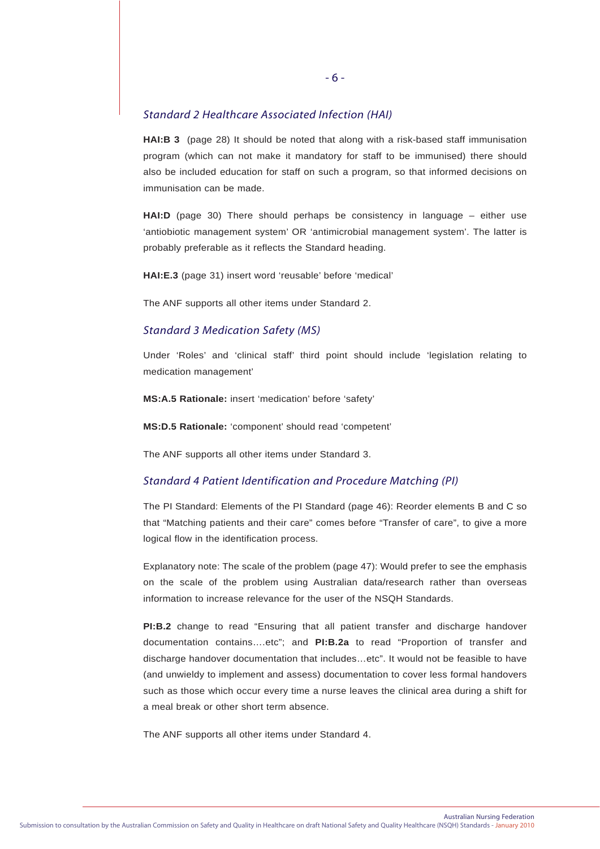## *Standard 2 Healthcare Associated Infection (HAI)*

**HAI:B 3** (page 28) It should be noted that along with a risk-based staff immunisation program (which can not make it mandatory for staff to be immunised) there should also be included education for staff on such a program, so that informed decisions on immunisation can be made.

**HAI:D** (page 30) There should perhaps be consistency in language – either use 'antiobiotic management system' OR 'antimicrobial management system'. The latter is probably preferable as it reflects the Standard heading.

**HAI:E.3** (page 31) insert word 'reusable' before 'medical'

The ANF supports all other items under Standard 2.

#### *Standard 3 Medication Safety (MS)*

Under 'Roles' and 'clinical staff' third point should include 'legislation relating to medication management'

**MS:A.5 Rationale:** insert 'medication' before 'safety'

**MS:D.5 Rationale:** 'component' should read 'competent'

The ANF supports all other items under Standard 3.

## *Standard 4 Patient Identification and Procedure Matching (PI)*

The PI Standard: Elements of the PI Standard (page 46): Reorder elements B and C so that "Matching patients and their care" comes before "Transfer of care", to give a more logical flow in the identification process.

Explanatory note: The scale of the problem (page 47): Would prefer to see the emphasis on the scale of the problem using Australian data/research rather than overseas information to increase relevance for the user of the NSQH Standards.

**PI:B.2** change to read "Ensuring that all patient transfer and discharge handover documentation contains….etc"; and **PI:B.2a** to read "Proportion of transfer and discharge handover documentation that includes…etc". It would not be feasible to have (and unwieldy to implement and assess) documentation to cover less formal handovers such as those which occur every time a nurse leaves the clinical area during a shift for a meal break or other short term absence.

The ANF supports all other items under Standard 4.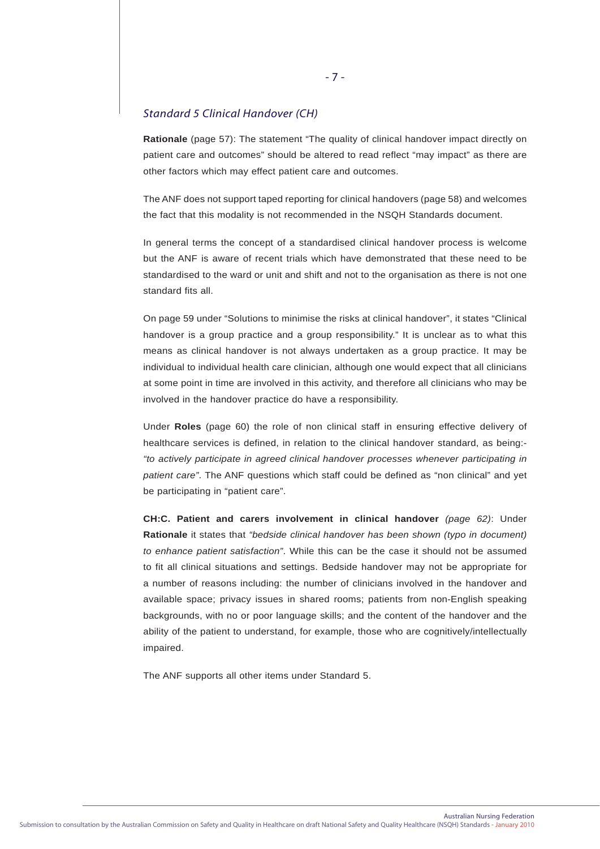# *Standard 5 Clinical Handover (CH)*

**Rationale** (page 57): The statement "The quality of clinical handover impact directly on patient care and outcomes" should be altered to read reflect "may impact" as there are other factors which may effect patient care and outcomes.

The ANF does not support taped reporting for clinical handovers (page 58) and welcomes the fact that this modality is not recommended in the NSQH Standards document.

In general terms the concept of a standardised clinical handover process is welcome but the ANF is aware of recent trials which have demonstrated that these need to be standardised to the ward or unit and shift and not to the organisation as there is not one standard fits all.

On page 59 under "Solutions to minimise the risks at clinical handover", it states "Clinical handover is a group practice and a group responsibility." It is unclear as to what this means as clinical handover is not always undertaken as a group practice. It may be individual to individual health care clinician, although one would expect that all clinicians at some point in time are involved in this activity, and therefore all clinicians who may be involved in the handover practice do have a responsibility.

Under **Roles** (page 60) the role of non clinical staff in ensuring effective delivery of healthcare services is defined, in relation to the clinical handover standard, as being:- *"to actively participate in agreed clinical handover processes whenever participating in patient care"*. The ANF questions which staff could be defined as "non clinical" and yet be participating in "patient care".

**CH:C. Patient and carers involvement in clinical handover** *(page 62)*: Under **Rationale** it states that *"bedside clinical handover has been shown (typo in document) to enhance patient satisfaction"*. While this can be the case it should not be assumed to fit all clinical situations and settings. Bedside handover may not be appropriate for a number of reasons including: the number of clinicians involved in the handover and available space; privacy issues in shared rooms; patients from non-English speaking backgrounds, with no or poor language skills; and the content of the handover and the ability of the patient to understand, for example, those who are cognitively/intellectually impaired.

The ANF supports all other items under Standard 5.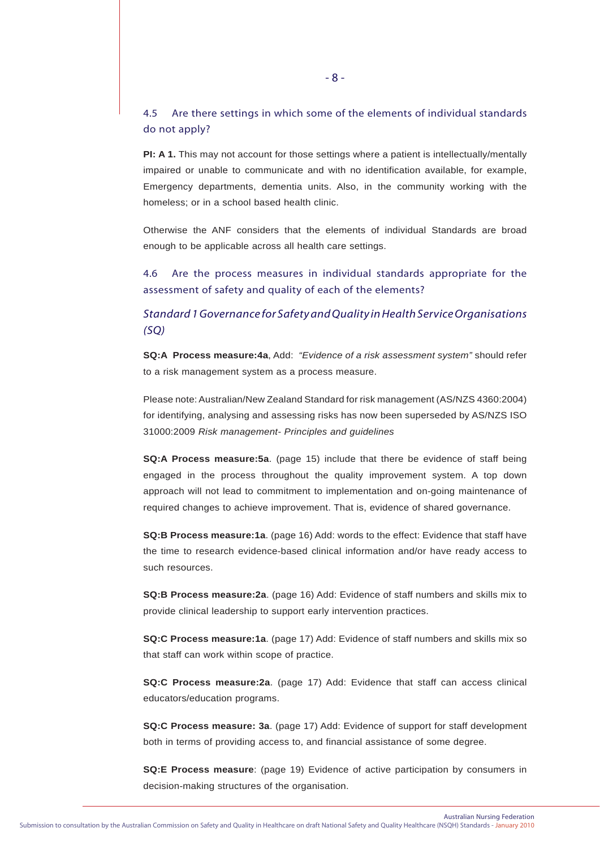# 4.5 Are there settings in which some of the elements of individual standards do not apply?

**PI: A 1.** This may not account for those settings where a patient is intellectually/mentally impaired or unable to communicate and with no identification available, for example, Emergency departments, dementia units. Also, in the community working with the homeless; or in a school based health clinic.

Otherwise the ANF considers that the elements of individual Standards are broad enough to be applicable across all health care settings.

4.6 Are the process measures in individual standards appropriate for the assessment of safety and quality of each of the elements?

# *Standard 1 Governance for Safety and Quality in Health Service Organisations (SQ)*

**SQ:A Process measure:4a**, Add: *"Evidence of a risk assessment system"* should refer to a risk management system as a process measure.

Please note: Australian/New Zealand Standard for risk management (AS/NZS 4360:2004) for identifying, analysing and assessing risks has now been superseded by AS/NZS ISO 31000:2009 *Risk management- Principles and guidelines*

**SQ:A Process measure:5a**. (page 15) include that there be evidence of staff being engaged in the process throughout the quality improvement system. A top down approach will not lead to commitment to implementation and on-going maintenance of required changes to achieve improvement. That is, evidence of shared governance.

**SQ:B Process measure:1a**. (page 16) Add: words to the effect: Evidence that staff have the time to research evidence-based clinical information and/or have ready access to such resources.

**SQ:B Process measure:2a**. (page 16) Add: Evidence of staff numbers and skills mix to provide clinical leadership to support early intervention practices.

**SQ:C Process measure:1a**. (page 17) Add: Evidence of staff numbers and skills mix so that staff can work within scope of practice.

**SQ:C Process measure:2a**. (page 17) Add: Evidence that staff can access clinical educators/education programs.

**SQ:C Process measure: 3a**. (page 17) Add: Evidence of support for staff development both in terms of providing access to, and financial assistance of some degree.

**SQ:E Process measure**: (page 19) Evidence of active participation by consumers in decision-making structures of the organisation.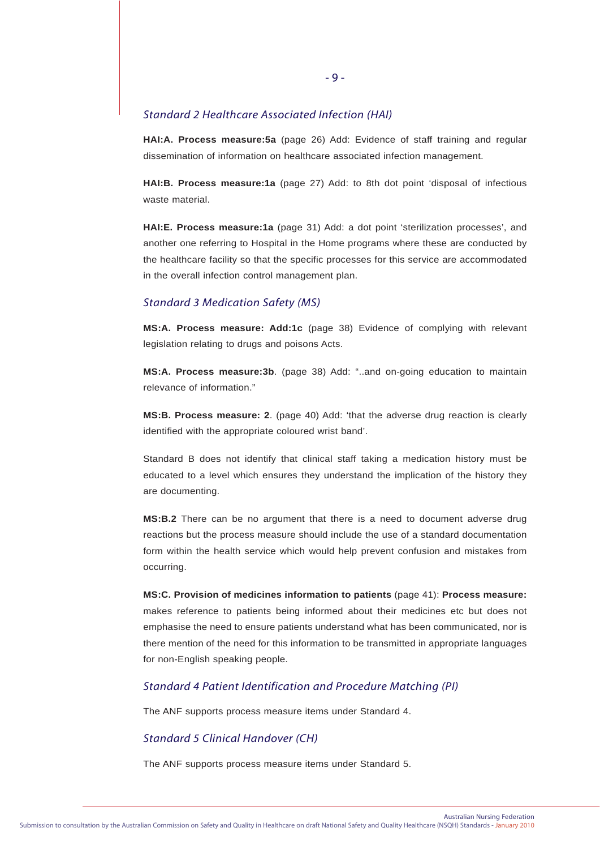### *Standard 2 Healthcare Associated Infection (HAI)*

**HAI:A. Process measure:5a** (page 26) Add: Evidence of staff training and regular dissemination of information on healthcare associated infection management.

**HAI:B. Process measure:1a** (page 27) Add: to 8th dot point 'disposal of infectious waste material.

**HAI:E. Process measure:1a** (page 31) Add: a dot point 'sterilization processes', and another one referring to Hospital in the Home programs where these are conducted by the healthcare facility so that the specific processes for this service are accommodated in the overall infection control management plan.

### *Standard 3 Medication Safety (MS)*

**MS:A. Process measure: Add:1c** (page 38) Evidence of complying with relevant legislation relating to drugs and poisons Acts.

**MS:A. Process measure:3b**. (page 38) Add: "..and on-going education to maintain relevance of information."

**MS:B. Process measure: 2**. (page 40) Add: 'that the adverse drug reaction is clearly identified with the appropriate coloured wrist band'.

Standard B does not identify that clinical staff taking a medication history must be educated to a level which ensures they understand the implication of the history they are documenting.

**MS:B.2** There can be no argument that there is a need to document adverse drug reactions but the process measure should include the use of a standard documentation form within the health service which would help prevent confusion and mistakes from occurring.

**MS:C. Provision of medicines information to patients** (page 41): **Process measure:** makes reference to patients being informed about their medicines etc but does not emphasise the need to ensure patients understand what has been communicated, nor is there mention of the need for this information to be transmitted in appropriate languages for non-English speaking people.

## *Standard 4 Patient Identification and Procedure Matching (PI)*

The ANF supports process measure items under Standard 4.

#### *Standard 5 Clinical Handover (CH)*

The ANF supports process measure items under Standard 5.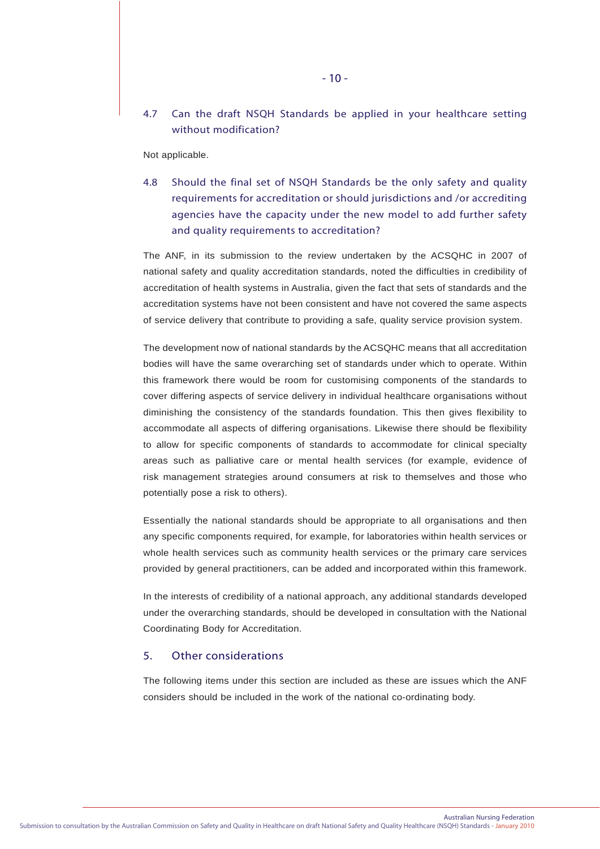Not applicable.

4.8 Should the final set of NSQH Standards be the only safety and quality requirements for accreditation or should jurisdictions and /or accrediting agencies have the capacity under the new model to add further safety and quality requirements to accreditation?

The ANF, in its submission to the review undertaken by the ACSQHC in 2007 of national safety and quality accreditation standards, noted the difficulties in credibility of accreditation of health systems in Australia, given the fact that sets of standards and the accreditation systems have not been consistent and have not covered the same aspects of service delivery that contribute to providing a safe, quality service provision system.

The development now of national standards by the ACSQHC means that all accreditation bodies will have the same overarching set of standards under which to operate. Within this framework there would be room for customising components of the standards to cover differing aspects of service delivery in individual healthcare organisations without diminishing the consistency of the standards foundation. This then gives flexibility to accommodate all aspects of differing organisations. Likewise there should be flexibility to allow for specific components of standards to accommodate for clinical specialty areas such as palliative care or mental health services (for example, evidence of risk management strategies around consumers at risk to themselves and those who potentially pose a risk to others).

Essentially the national standards should be appropriate to all organisations and then any specific components required, for example, for laboratories within health services or whole health services such as community health services or the primary care services provided by general practitioners, can be added and incorporated within this framework.

In the interests of credibility of a national approach, any additional standards developed under the overarching standards, should be developed in consultation with the National Coordinating Body for Accreditation.

## 5. Other considerations

The following items under this section are included as these are issues which the ANF considers should be included in the work of the national co-ordinating body.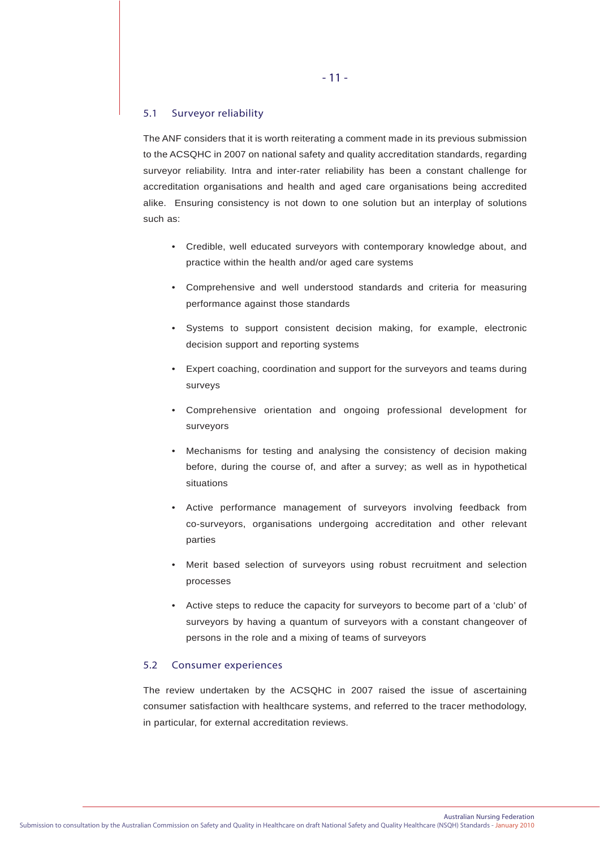#### 5.1 Surveyor reliability

The ANF considers that it is worth reiterating a comment made in its previous submission to the ACSQHC in 2007 on national safety and quality accreditation standards, regarding surveyor reliability. Intra and inter-rater reliability has been a constant challenge for accreditation organisations and health and aged care organisations being accredited alike. Ensuring consistency is not down to one solution but an interplay of solutions such as:

- Credible, well educated surveyors with contemporary knowledge about, and practice within the health and/or aged care systems
- Comprehensive and well understood standards and criteria for measuring performance against those standards
- Systems to support consistent decision making, for example, electronic decision support and reporting systems
- Expert coaching, coordination and support for the surveyors and teams during surveys
- Comprehensive orientation and ongoing professional development for surveyors
- Mechanisms for testing and analysing the consistency of decision making before, during the course of, and after a survey; as well as in hypothetical situations
- Active performance management of surveyors involving feedback from co-surveyors, organisations undergoing accreditation and other relevant parties
- Merit based selection of surveyors using robust recruitment and selection processes
- Active steps to reduce the capacity for surveyors to become part of a 'club' of surveyors by having a quantum of surveyors with a constant changeover of persons in the role and a mixing of teams of surveyors

#### 5.2 Consumer experiences

The review undertaken by the ACSQHC in 2007 raised the issue of ascertaining consumer satisfaction with healthcare systems, and referred to the tracer methodology, in particular, for external accreditation reviews.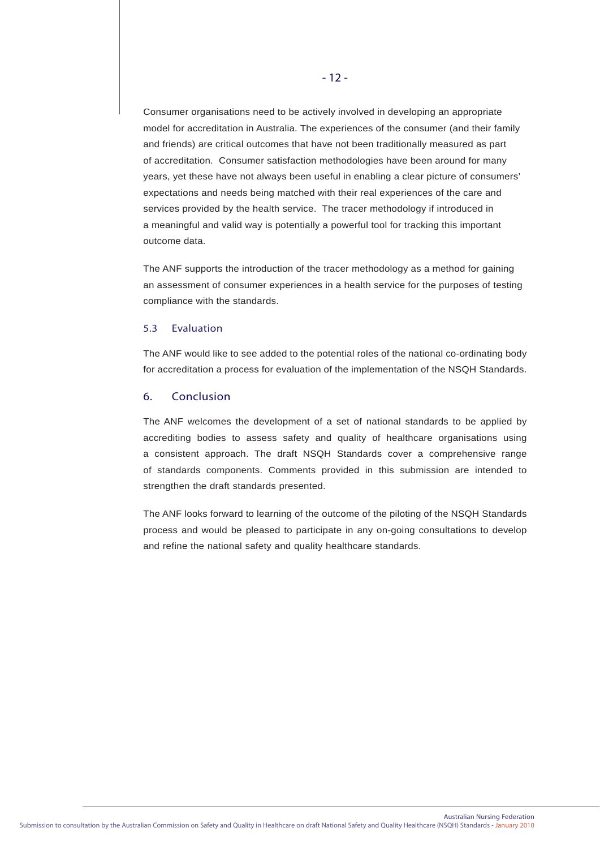Consumer organisations need to be actively involved in developing an appropriate model for accreditation in Australia. The experiences of the consumer (and their family and friends) are critical outcomes that have not been traditionally measured as part of accreditation. Consumer satisfaction methodologies have been around for many years, yet these have not always been useful in enabling a clear picture of consumers' expectations and needs being matched with their real experiences of the care and services provided by the health service. The tracer methodology if introduced in a meaningful and valid way is potentially a powerful tool for tracking this important outcome data.

The ANF supports the introduction of the tracer methodology as a method for gaining an assessment of consumer experiences in a health service for the purposes of testing compliance with the standards.

#### 5.3 Evaluation

The ANF would like to see added to the potential roles of the national co-ordinating body for accreditation a process for evaluation of the implementation of the NSQH Standards.

## 6. Conclusion

The ANF welcomes the development of a set of national standards to be applied by accrediting bodies to assess safety and quality of healthcare organisations using a consistent approach. The draft NSQH Standards cover a comprehensive range of standards components. Comments provided in this submission are intended to strengthen the draft standards presented.

The ANF looks forward to learning of the outcome of the piloting of the NSQH Standards process and would be pleased to participate in any on-going consultations to develop and refine the national safety and quality healthcare standards.